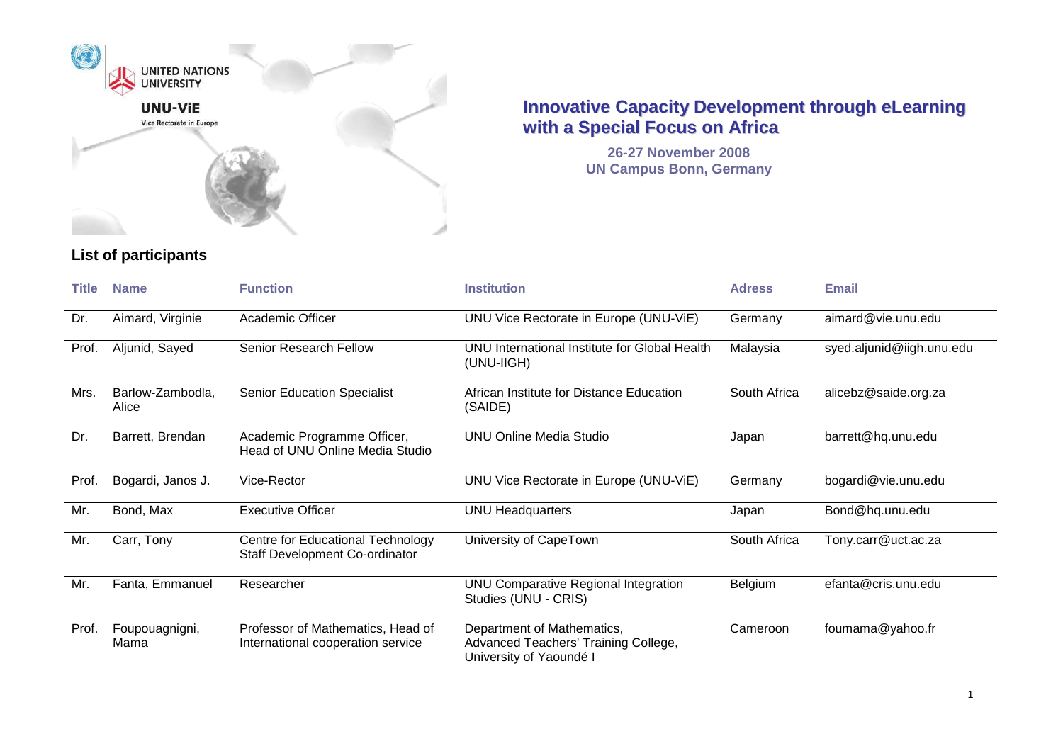

**26-27 November 2008 UN Campus Bonn, Germany**

| Title | <b>Name</b>               | <b>Function</b>                                                            | <b>Institution</b>                                                                            | <b>Adress</b>  | <b>Email</b>              |
|-------|---------------------------|----------------------------------------------------------------------------|-----------------------------------------------------------------------------------------------|----------------|---------------------------|
| Dr.   | Aimard, Virginie          | Academic Officer                                                           | UNU Vice Rectorate in Europe (UNU-ViE)                                                        | Germany        | aimard@vie.unu.edu        |
| Prof. | Aljunid, Sayed            | Senior Research Fellow                                                     | UNU International Institute for Global Health<br>(UNU-IIGH)                                   | Malaysia       | syed.aljunid@iigh.unu.edu |
| Mrs.  | Barlow-Zambodla,<br>Alice | <b>Senior Education Specialist</b>                                         | African Institute for Distance Education<br>(SAIDE)                                           | South Africa   | alicebz@saide.org.za      |
| Dr.   | Barrett, Brendan          | Academic Programme Officer,<br>Head of UNU Online Media Studio             | <b>UNU Online Media Studio</b>                                                                | Japan          | barrett@hq.unu.edu        |
| Prof. | Bogardi, Janos J.         | Vice-Rector                                                                | UNU Vice Rectorate in Europe (UNU-ViE)                                                        | Germany        | bogardi@vie.unu.edu       |
| Mr.   | Bond, Max                 | <b>Executive Officer</b>                                                   | <b>UNU Headquarters</b>                                                                       | Japan          | Bond@hq.unu.edu           |
| Mr.   | Carr, Tony                | Centre for Educational Technology<br><b>Staff Development Co-ordinator</b> | University of CapeTown                                                                        | South Africa   | Tony.carr@uct.ac.za       |
| Mr.   | Fanta, Emmanuel           | Researcher                                                                 | UNU Comparative Regional Integration<br>Studies (UNU - CRIS)                                  | <b>Belgium</b> | efanta@cris.unu.edu       |
| Prof. | Foupouagnigni,<br>Mama    | Professor of Mathematics, Head of<br>International cooperation service     | Department of Mathematics,<br>Advanced Teachers' Training College,<br>University of Yaoundé I | Cameroon       | foumama@yahoo.fr          |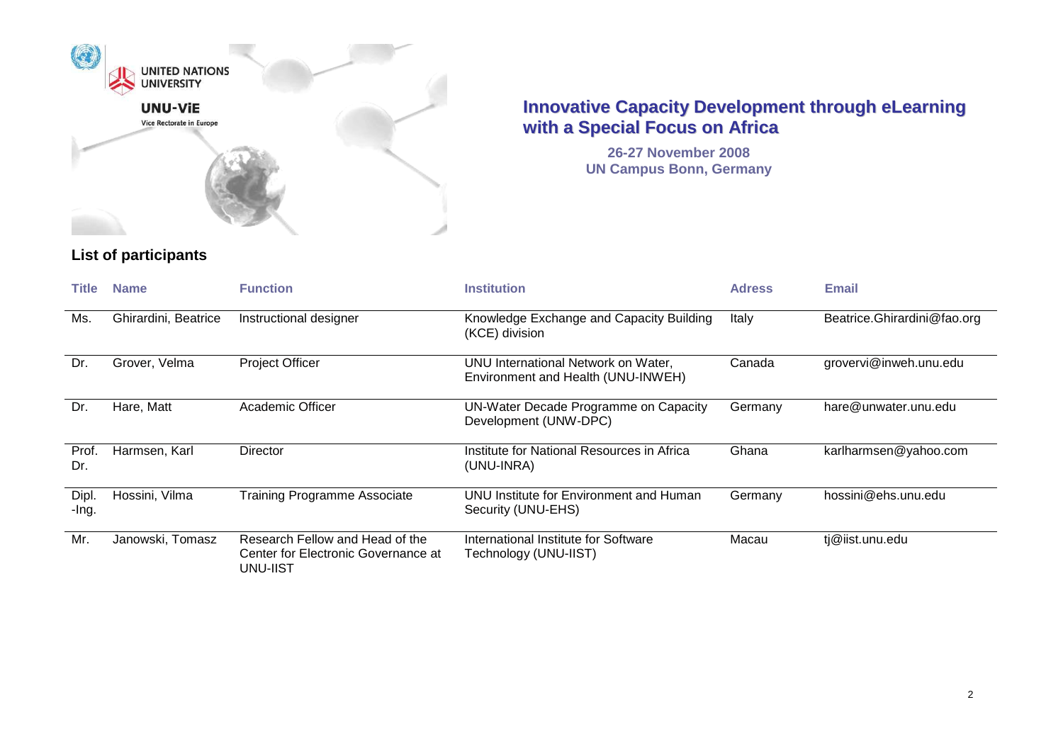

**26-27 November 2008 UN Campus Bonn, Germany**

| Title          | <b>Name</b>          | <b>Function</b>                                                                    | <b>Institution</b>                                                        | <b>Adress</b> | <b>Email</b>                |
|----------------|----------------------|------------------------------------------------------------------------------------|---------------------------------------------------------------------------|---------------|-----------------------------|
| Ms.            | Ghirardini, Beatrice | Instructional designer                                                             | Knowledge Exchange and Capacity Building<br>(KCE) division                | Italy         | Beatrice.Ghirardini@fao.org |
| Dr.            | Grover, Velma        | Project Officer                                                                    | UNU International Network on Water,<br>Environment and Health (UNU-INWEH) | Canada        | grovervi@inweh.unu.edu      |
| Dr.            | Hare, Matt           | Academic Officer                                                                   | UN-Water Decade Programme on Capacity<br>Development (UNW-DPC)            | Germany       | hare@unwater.unu.edu        |
| Prof.<br>Dr.   | Harmsen, Karl        | Director                                                                           | Institute for National Resources in Africa<br>(UNU-INRA)                  | Ghana         | karlharmsen@yahoo.com       |
| Dipl.<br>-Ing. | Hossini, Vilma       | <b>Training Programme Associate</b>                                                | UNU Institute for Environment and Human<br>Security (UNU-EHS)             | Germany       | hossini@ehs.unu.edu         |
| Mr.            | Janowski, Tomasz     | Research Fellow and Head of the<br>Center for Electronic Governance at<br>UNU-IIST | International Institute for Software<br>Technology (UNU-IIST)             | Macau         | tj@iist.unu.edu             |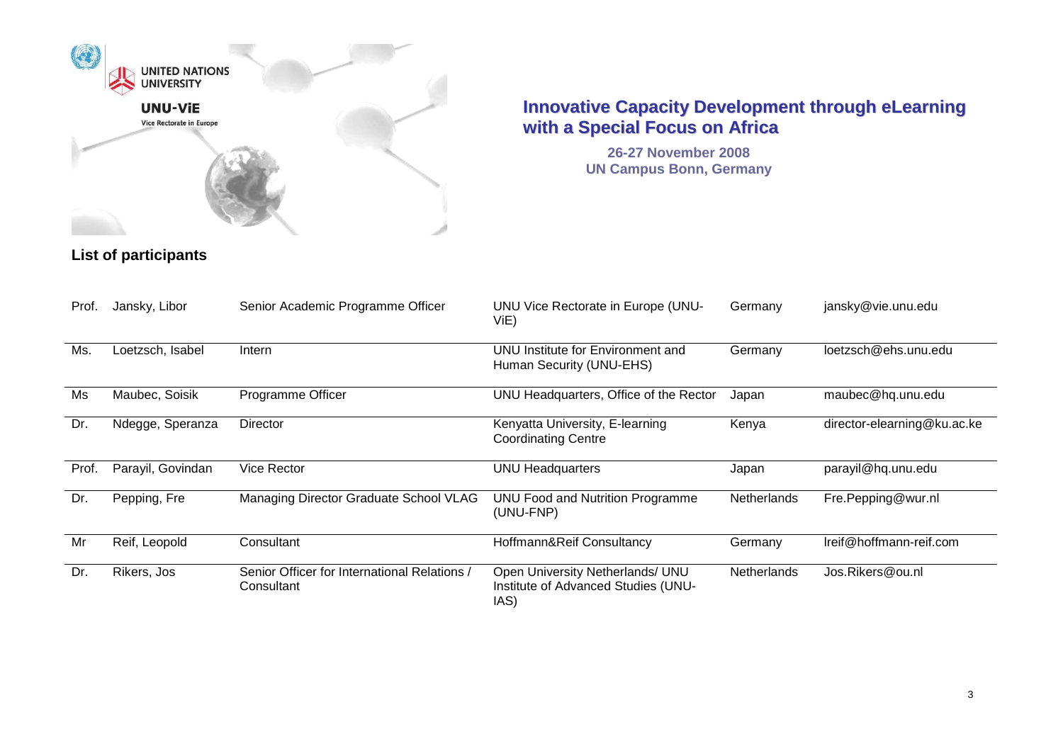

**26-27 November 2008 UN Campus Bonn, Germany**

| Prof. | Jansky, Libor     | Senior Academic Programme Officer                          | UNU Vice Rectorate in Europe (UNU-<br>ViE)                                      | Germany            | jansky@vie.unu.edu          |
|-------|-------------------|------------------------------------------------------------|---------------------------------------------------------------------------------|--------------------|-----------------------------|
| Ms.   | Loetzsch, Isabel  | Intern                                                     | UNU Institute for Environment and<br>Human Security (UNU-EHS)                   | Germany            | loetzsch@ehs.unu.edu        |
| Ms    | Maubec, Soisik    | <b>Programme Officer</b>                                   | UNU Headquarters, Office of the Rector                                          | Japan              | maubec@hq.unu.edu           |
| Dr.   | Ndegge, Speranza  | Director                                                   | Kenyatta University, E-learning<br><b>Coordinating Centre</b>                   | Kenya              | director-elearning@ku.ac.ke |
| Prof. | Parayil, Govindan | Vice Rector                                                | <b>UNU Headquarters</b>                                                         | Japan              | parayil@hq.unu.edu          |
| Dr.   | Pepping, Fre      | Managing Director Graduate School VLAG                     | UNU Food and Nutrition Programme<br>(UNU-FNP)                                   | Netherlands        | Fre.Pepping@wur.nl          |
| Mr    | Reif, Leopold     | Consultant                                                 | Hoffmann&Reif Consultancy                                                       | Germany            | Ireif@hoffmann-reif.com     |
| Dr.   | Rikers, Jos       | Senior Officer for International Relations /<br>Consultant | Open University Netherlands/ UNU<br>Institute of Advanced Studies (UNU-<br>IAS) | <b>Netherlands</b> | Jos.Rikers@ou.nl            |